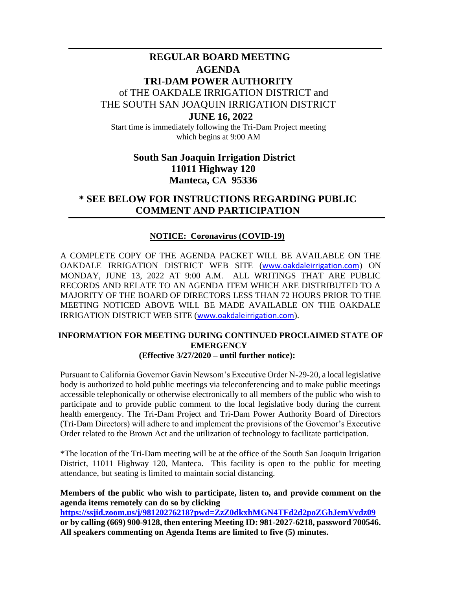# **REGULAR BOARD MEETING AGENDA TRI-DAM POWER AUTHORITY** of THE OAKDALE IRRIGATION DISTRICT and THE SOUTH SAN JOAQUIN IRRIGATION DISTRICT **JUNE 16, 2022**

Start time is immediately following the Tri-Dam Project meeting which begins at 9:00 AM

## **South San Joaquin Irrigation District 11011 Highway 120 Manteca, CA 95336**

## **\* SEE BELOW FOR INSTRUCTIONS REGARDING PUBLIC COMMENT AND PARTICIPATION**

### **NOTICE: Coronavirus (COVID-19)**

A COMPLETE COPY OF THE AGENDA PACKET WILL BE AVAILABLE ON THE OAKDALE IRRIGATION DISTRICT WEB SITE ([www.oakdaleirrigation.com](http://www.oakdaleirrigation.com/)) ON MONDAY, JUNE 13, 2022 AT 9:00 A.M. ALL WRITINGS THAT ARE PUBLIC RECORDS AND RELATE TO AN AGENDA ITEM WHICH ARE DISTRIBUTED TO A MAJORITY OF THE BOARD OF DIRECTORS LESS THAN 72 HOURS PRIOR TO THE MEETING NOTICED ABOVE WILL BE MADE AVAILABLE ON THE OAKDALE IRRIGATION DISTRICT WEB SITE ([www.oakdaleirrigation.com](http://www.oakdaleirrigation.com/)).

#### **INFORMATION FOR MEETING DURING CONTINUED PROCLAIMED STATE OF EMERGENCY (Effective 3/27/2020 – until further notice):**

Pursuant to California Governor Gavin Newsom's Executive Order N-29-20, a local legislative body is authorized to hold public meetings via teleconferencing and to make public meetings accessible telephonically or otherwise electronically to all members of the public who wish to participate and to provide public comment to the local legislative body during the current health emergency. The Tri-Dam Project and Tri-Dam Power Authority Board of Directors (Tri-Dam Directors) will adhere to and implement the provisions of the Governor's Executive Order related to the Brown Act and the utilization of technology to facilitate participation.

\*The location of the Tri-Dam meeting will be at the office of the South San Joaquin Irrigation District, 11011 Highway 120, Manteca. This facility is open to the public for meeting attendance, but seating is limited to maintain social distancing.

**Members of the public who wish to participate, listen to, and provide comment on the agenda items remotely can do so by clicking <https://ssjid.zoom.us/j/98120276218?pwd=ZzZ0dkxhMGN4TFd2d2poZGhJemVvdz09>**

**or by calling (669) 900-9128, then entering Meeting ID: 981-2027-6218, password 700546. All speakers commenting on Agenda Items are limited to five (5) minutes.**